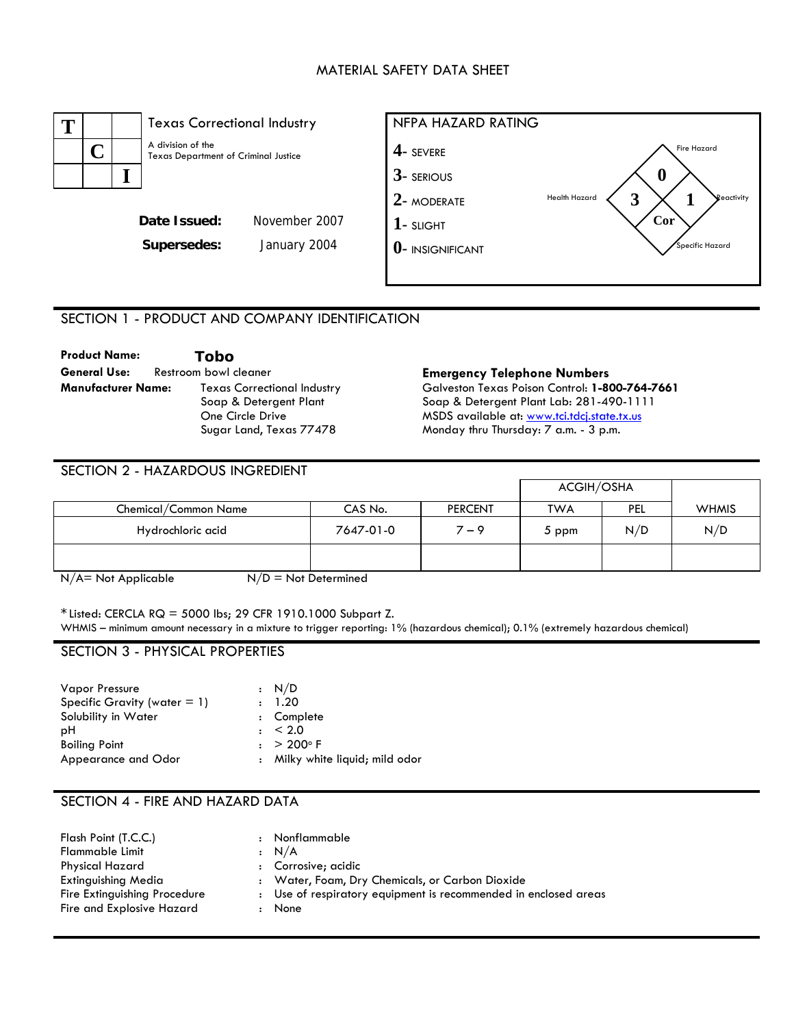### MATERIAL SAFETY DATA SHEET



# SECTION 1 - PRODUCT AND COMPANY IDENTIFICATION

| <b>Product Name:</b>      |                       | Tobo                               |  |
|---------------------------|-----------------------|------------------------------------|--|
| General Use:              | Restroom bowl cleaner |                                    |  |
| <b>Manufacturer Name:</b> |                       | <b>Texas Correctional Industry</b> |  |
|                           |                       | Soap & Detergent Plant             |  |
|                           |                       | One Circle Drive                   |  |
|                           |                       | Sugar Land, Texas 77478            |  |

#### **Emergency Telephone Numbers**

Galveston Texas Poison Control: **1-800-764-7661**  Soap & Detergent Plant Lab: 281-490-1111 MSDS available at: [www.tci.tdcj.state.tx.us](http://www.tci.tdcj.state.tx.us/) Monday thru Thursday: 7 a.m. - 3 p.m.

| SECTION 2 - HAZARDOUS INGREDIENT |           |                |            |     |              |
|----------------------------------|-----------|----------------|------------|-----|--------------|
|                                  |           |                | ACGIH/OSHA |     |              |
| Chemical/Common Name             | CAS No.   | <b>PERCENT</b> | <b>TWA</b> | PEL | <b>WHMIS</b> |
| Hydrochloric acid                | 7647-01-0 | $7 - 9$        | 5 ppm      | N/D | N/D          |
|                                  |           |                |            |     |              |

 $N/A$  = Not Applicable  $N/D$  = Not Determined

 $*$  Listed: CERCLA RQ = 5000 lbs; 29 CFR 1910.1000 Subpart Z. WHMIS – minimum amount necessary in a mixture to trigger reporting: 1% (hazardous chemical); 0.1% (extremely hazardous chemical)

### SECTION 3 - PHYSICAL PROPERTIES

| <b>Vapor Pressure</b>           | $\cdot$ N/D                     |
|---------------------------------|---------------------------------|
| Specific Gravity (water $= 1$ ) | : 1.20                          |
| Solubility in Water             | : Complete                      |
| рH                              | $\pm$ < 2.0                     |
| <b>Boiling Point</b>            | $: > 200^{\circ}$ F             |
| Appearance and Odor             | : Milky white liquid; mild odor |

## SECTION 4 - FIRE AND HAZARD DATA

| Flash Point (T.C.C.)<br>Flammable Limit | $\mathbf{r}$ | Nonflammable<br>: N/A                                           |
|-----------------------------------------|--------------|-----------------------------------------------------------------|
| <b>Physical Hazard</b>                  |              | : Corrosive; acidic                                             |
| <b>Extinguishing Media</b>              |              | : Water, Foam, Dry Chemicals, or Carbon Dioxide                 |
| Fire Extinguishing Procedure            |              | : Use of respiratory equipment is recommended in enclosed areas |
| Fire and Explosive Hazard               |              | None                                                            |